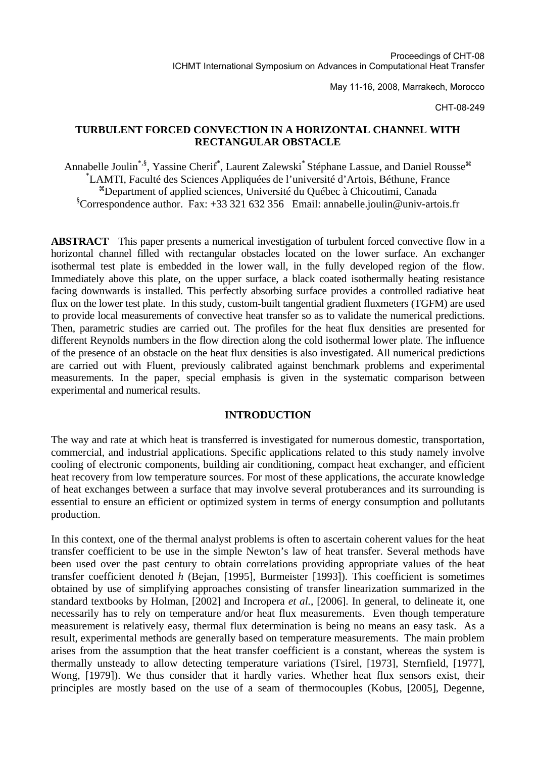May 11-16, 2008, Marrakech, Morocco

CHT-08-249

## **TURBULENT FORCED CONVECTION IN A HORIZONTAL CHANNEL WITH RECTANGULAR OBSTACLE**

Annabelle Joulin<sup>\*,§</sup>, Yassine Cherif<sup>\*</sup>, Laurent Zalewski<sup>\*</sup> Stéphane Lassue, and Daniel Rousse<sup>\*\*</sup> \* LAMTI, Faculté des Sciences Appliquées de l'université d'Artois, Béthune, France <sup>a</sup>Department of applied sciences, Université du Québec à Chicoutimi, Canada § Correspondence author. Fax: +33 321 632 356 Email: annabelle.joulin@univ-artois.fr

**ABSTRACT** This paper presents a numerical investigation of turbulent forced convective flow in a horizontal channel filled with rectangular obstacles located on the lower surface. An exchanger isothermal test plate is embedded in the lower wall, in the fully developed region of the flow. Immediately above this plate, on the upper surface, a black coated isothermally heating resistance facing downwards is installed. This perfectly absorbing surface provides a controlled radiative heat flux on the lower test plate. In this study, custom-built tangential gradient fluxmeters (TGFM) are used to provide local measurements of convective heat transfer so as to validate the numerical predictions. Then, parametric studies are carried out. The profiles for the heat flux densities are presented for different Reynolds numbers in the flow direction along the cold isothermal lower plate. The influence of the presence of an obstacle on the heat flux densities is also investigated. All numerical predictions are carried out with Fluent, previously calibrated against benchmark problems and experimental measurements. In the paper, special emphasis is given in the systematic comparison between experimental and numerical results.

#### **INTRODUCTION**

The way and rate at which heat is transferred is investigated for numerous domestic, transportation, commercial, and industrial applications. Specific applications related to this study namely involve cooling of electronic components, building air conditioning, compact heat exchanger, and efficient heat recovery from low temperature sources. For most of these applications, the accurate knowledge of heat exchanges between a surface that may involve several protuberances and its surrounding is essential to ensure an efficient or optimized system in terms of energy consumption and pollutants production.

In this context, one of the thermal analyst problems is often to ascertain coherent values for the heat transfer coefficient to be use in the simple Newton's law of heat transfer. Several methods have been used over the past century to obtain correlations providing appropriate values of the heat transfer coefficient denoted *h* (Bejan, [1995], Burmeister [1993]). This coefficient is sometimes obtained by use of simplifying approaches consisting of transfer linearization summarized in the standard textbooks by Holman, [2002] and Incropera *et al.*, [2006]. In general, to delineate it, one necessarily has to rely on temperature and/or heat flux measurements. Even though temperature measurement is relatively easy, thermal flux determination is being no means an easy task. As a result, experimental methods are generally based on temperature measurements. The main problem arises from the assumption that the heat transfer coefficient is a constant, whereas the system is thermally unsteady to allow detecting temperature variations (Tsirel, [1973], Sternfield, [1977], Wong, [1979]). We thus consider that it hardly varies. Whether heat flux sensors exist, their principles are mostly based on the use of a seam of thermocouples (Kobus, [2005], Degenne,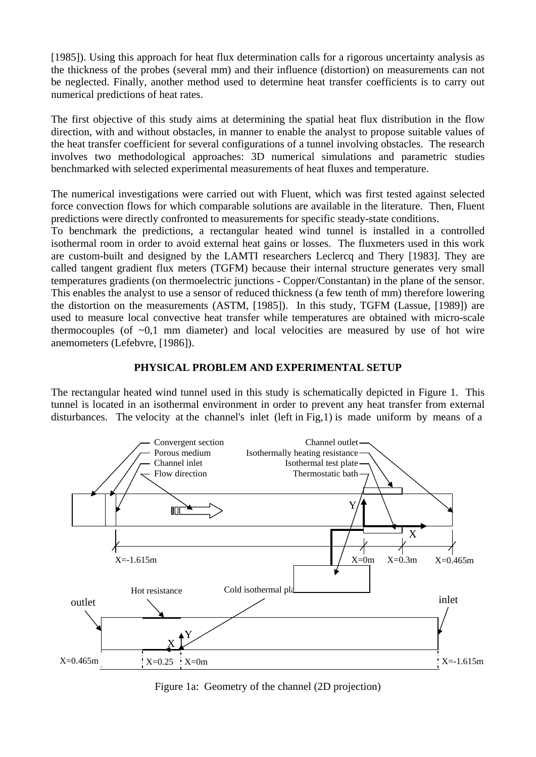[1985]). Using this approach for heat flux determination calls for a rigorous uncertainty analysis as the thickness of the probes (several mm) and their influence (distortion) on measurements can not be neglected. Finally, another method used to determine heat transfer coefficients is to carry out numerical predictions of heat rates.

The first objective of this study aims at determining the spatial heat flux distribution in the flow direction, with and without obstacles, in manner to enable the analyst to propose suitable values of the heat transfer coefficient for several configurations of a tunnel involving obstacles. The research involves two methodological approaches: 3D numerical simulations and parametric studies benchmarked with selected experimental measurements of heat fluxes and temperature.

The numerical investigations were carried out with Fluent, which was first tested against selected force convection flows for which comparable solutions are available in the literature. Then, Fluent predictions were directly confronted to measurements for specific steady-state conditions.

To benchmark the predictions, a rectangular heated wind tunnel is installed in a controlled isothermal room in order to avoid external heat gains or losses. The fluxmeters used in this work are custom-built and designed by the LAMTI researchers Leclercq and Thery [1983]. They are called tangent gradient flux meters (TGFM) because their internal structure generates very small temperatures gradients (on thermoelectric junctions - Copper/Constantan) in the plane of the sensor. This enables the analyst to use a sensor of reduced thickness (a few tenth of mm) therefore lowering the distortion on the measurements (ASTM, [1985]). In this study, TGFM (Lassue, [1989]) are used to measure local convective heat transfer while temperatures are obtained with micro-scale thermocouples (of  $\sim 0.1$  mm diameter) and local velocities are measured by use of hot wire anemometers (Lefebvre, [1986]).

# **PHYSICAL PROBLEM AND EXPERIMENTAL SETUP**

The rectangular heated wind tunnel used in this study is schematically depicted in Figure 1. This tunnel is located in an isothermal environment in order to prevent any heat transfer from external disturbances. The velocity at the channel's inlet (left in Fig,1) is made uniform by means of a



Figure 1a: Geometry of the channel (2D projection)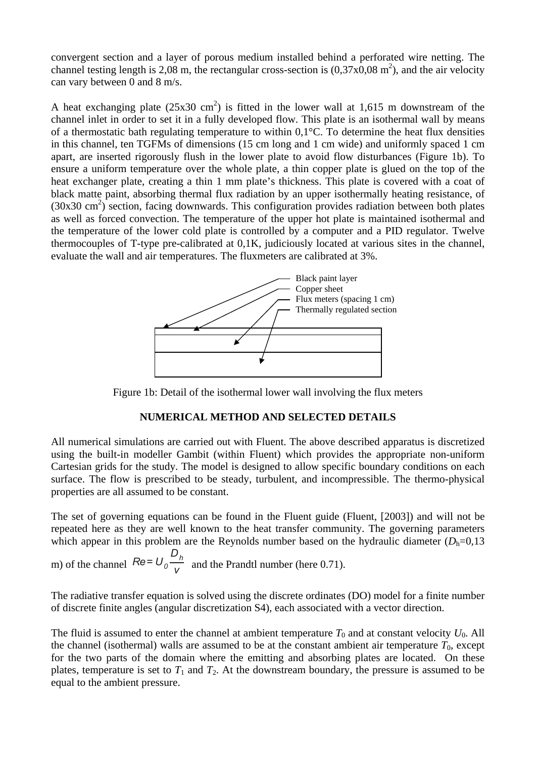convergent section and a layer of porous medium installed behind a perforated wire netting. The channel testing length is 2,08 m, the rectangular cross-section is  $(0,37x0,08 \text{ m}^2)$ , and the air velocity can vary between 0 and 8 m/s.

A heat exchanging plate  $(25x30 \text{ cm}^2)$  is fitted in the lower wall at 1,615 m downstream of the channel inlet in order to set it in a fully developed flow. This plate is an isothermal wall by means of a thermostatic bath regulating temperature to within 0,1°C. To determine the heat flux densities in this channel, ten TGFMs of dimensions (15 cm long and 1 cm wide) and uniformly spaced 1 cm apart, are inserted rigorously flush in the lower plate to avoid flow disturbances (Figure 1b). To ensure a uniform temperature over the whole plate, a thin copper plate is glued on the top of the heat exchanger plate, creating a thin 1 mm plate's thickness. This plate is covered with a coat of black matte paint, absorbing thermal flux radiation by an upper isothermally heating resistance, of (30x30 cm<sup>2</sup>) section, facing downwards. This configuration provides radiation between both plates as well as forced convection. The temperature of the upper hot plate is maintained isothermal and the temperature of the lower cold plate is controlled by a computer and a PID regulator. Twelve thermocouples of T-type pre-calibrated at 0,1K, judiciously located at various sites in the channel, evaluate the wall and air temperatures. The fluxmeters are calibrated at 3%.



Figure 1b: Detail of the isothermal lower wall involving the flux meters

## **NUMERICAL METHOD AND SELECTED DETAILS**

All numerical simulations are carried out with Fluent. The above described apparatus is discretized using the built-in modeller Gambit (within Fluent) which provides the appropriate non-uniform Cartesian grids for the study. The model is designed to allow specific boundary conditions on each surface. The flow is prescribed to be steady, turbulent, and incompressible. The thermo-physical properties are all assumed to be constant.

The set of governing equations can be found in the Fluent guide (Fluent, [2003]) and will not be repeated here as they are well known to the heat transfer community. The governing parameters which appear in this problem are the Reynolds number based on the hydraulic diameter  $(D_h=0,13)$ 

m) of the channel 
$$
Re = U_0 \frac{D_h}{V}
$$
 and the Prandtl number (here 0.71).

The radiative transfer equation is solved using the discrete ordinates (DO) model for a finite number of discrete finite angles (angular discretization S4), each associated with a vector direction.

The fluid is assumed to enter the channel at ambient temperature  $T_0$  and at constant velocity  $U_0$ . All the channel (isothermal) walls are assumed to be at the constant ambient air temperature  $T_0$ , except for the two parts of the domain where the emitting and absorbing plates are located. On these plates, temperature is set to  $T_1$  and  $T_2$ . At the downstream boundary, the pressure is assumed to be equal to the ambient pressure.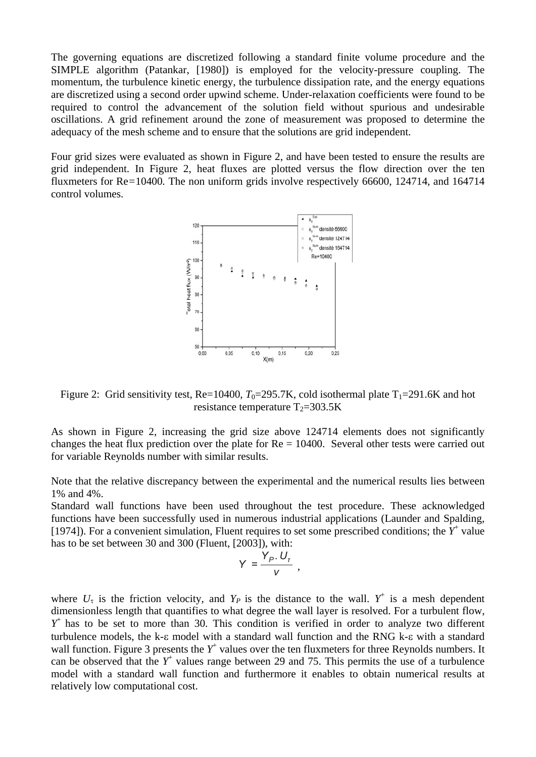The governing equations are discretized following a standard finite volume procedure and the SIMPLE algorithm (Patankar, [1980]) is employed for the velocity-pressure coupling. The momentum, the turbulence kinetic energy, the turbulence dissipation rate, and the energy equations are discretized using a second order upwind scheme. Under-relaxation coefficients were found to be required to control the advancement of the solution field without spurious and undesirable oscillations. A grid refinement around the zone of measurement was proposed to determine the adequacy of the mesh scheme and to ensure that the solutions are grid independent.

Four grid sizes were evaluated as shown in Figure 2, and have been tested to ensure the results are grid independent. In Figure 2, heat fluxes are plotted versus the flow direction over the ten fluxmeters for Re*=*10400*.* The non uniform grids involve respectively 66600, 124714, and 164714 control volumes.



Figure 2: Grid sensitivity test, Re=10400,  $T_0$ =295.7K, cold isothermal plate  $T_1$ =291.6K and hot resistance temperature  $T_2 = 303.5K$ 

As shown in Figure 2, increasing the grid size above 124714 elements does not significantly changes the heat flux prediction over the plate for  $Re = 10400$ . Several other tests were carried out for variable Reynolds number with similar results.

Note that the relative discrepancy between the experimental and the numerical results lies between 1% and 4%.

Standard wall functions have been used throughout the test procedure. These acknowledged functions have been successfully used in numerous industrial applications (Launder and Spalding, [1974]). For a convenient simulation, Fluent requires to set some prescribed conditions; the  $Y^+$  value has to be set between 30 and 300 (Fluent, [2003]), with:

$$
Y = \frac{Y_P \cdot U_r}{V} ,
$$

where  $U_{\tau}$  is the friction velocity, and  $Y_P$  is the distance to the wall.  $Y^+$  is a mesh dependent dimensionless length that quantifies to what degree the wall layer is resolved. For a turbulent flow, *Y*+ has to be set to more than 30. This condition is verified in order to analyze two different turbulence models, the k-ε model with a standard wall function and the RNG k-ε with a standard wall function. Figure 3 presents the  $Y^+$  values over the ten fluxmeters for three Reynolds numbers. It can be observed that the  $Y^+$  values range between 29 and 75. This permits the use of a turbulence model with a standard wall function and furthermore it enables to obtain numerical results at relatively low computational cost.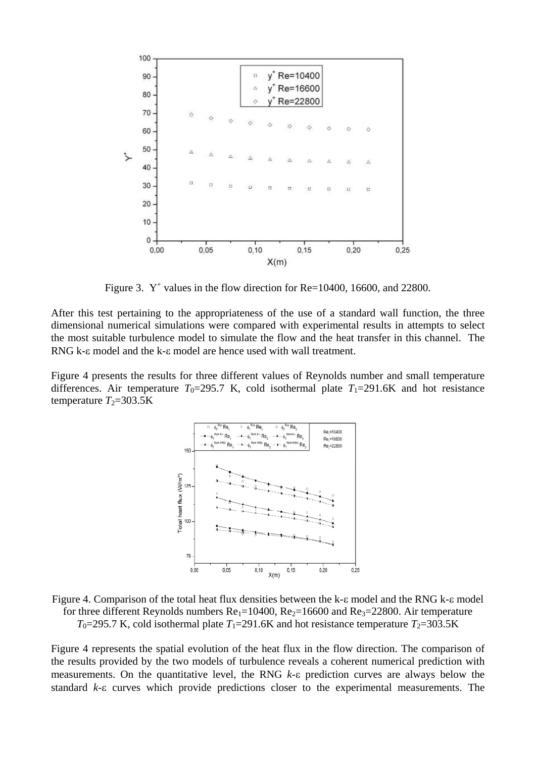

Figure 3.  $Y^+$  values in the flow direction for Re=10400, 16600, and 22800.

After this test pertaining to the appropriateness of the use of a standard wall function, the three dimensional numerical simulations were compared with experimental results in attempts to select the most suitable turbulence model to simulate the flow and the heat transfer in this channel. The RNG k-ε model and the k-ε model are hence used with wall treatment.

Figure 4 presents the results for three different values of Reynolds number and small temperature differences. Air temperature  $T_0$ =295.7 K, cold isothermal plate  $T_1$ =291.6K and hot resistance temperature  $T_2$ =303.5K



Figure 4. Comparison of the total heat flux densities between the k-ε model and the RNG k-ε model for three different Reynolds numbers  $Re_1=10400$ ,  $Re_2=16600$  and  $Re_3=22800$ . Air temperature  $T_0$ =295.7 K, cold isothermal plate  $T_1$ =291.6K and hot resistance temperature  $T_2$ =303.5K

Figure 4 represents the spatial evolution of the heat flux in the flow direction. The comparison of the results provided by the two models of turbulence reveals a coherent numerical prediction with measurements. On the quantitative level, the RNG *k*-ε prediction curves are always below the standard *k*-ε curves which provide predictions closer to the experimental measurements. The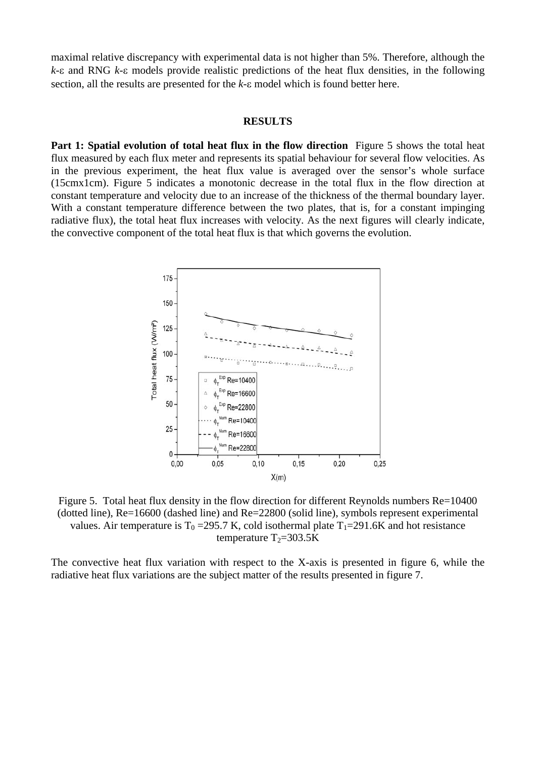maximal relative discrepancy with experimental data is not higher than 5%. Therefore, although the *k*-ε and RNG *k*-ε models provide realistic predictions of the heat flux densities, in the following section, all the results are presented for the *k*-ε model which is found better here.

#### **RESULTS**

**Part 1: Spatial evolution of total heat flux in the flow direction** Figure 5 shows the total heat flux measured by each flux meter and represents its spatial behaviour for several flow velocities. As in the previous experiment, the heat flux value is averaged over the sensor's whole surface (15cmx1cm). Figure 5 indicates a monotonic decrease in the total flux in the flow direction at constant temperature and velocity due to an increase of the thickness of the thermal boundary layer. With a constant temperature difference between the two plates, that is, for a constant impinging radiative flux), the total heat flux increases with velocity. As the next figures will clearly indicate, the convective component of the total heat flux is that which governs the evolution.



Figure 5. Total heat flux density in the flow direction for different Reynolds numbers Re=10400 (dotted line), Re=16600 (dashed line) and Re=22800 (solid line), symbols represent experimental values. Air temperature is  $T_0 = 295.7$  K, cold isothermal plate  $T_1 = 291.6$ K and hot resistance temperature  $T_2 = 303.5K$ 

The convective heat flux variation with respect to the X-axis is presented in figure 6, while the radiative heat flux variations are the subject matter of the results presented in figure 7.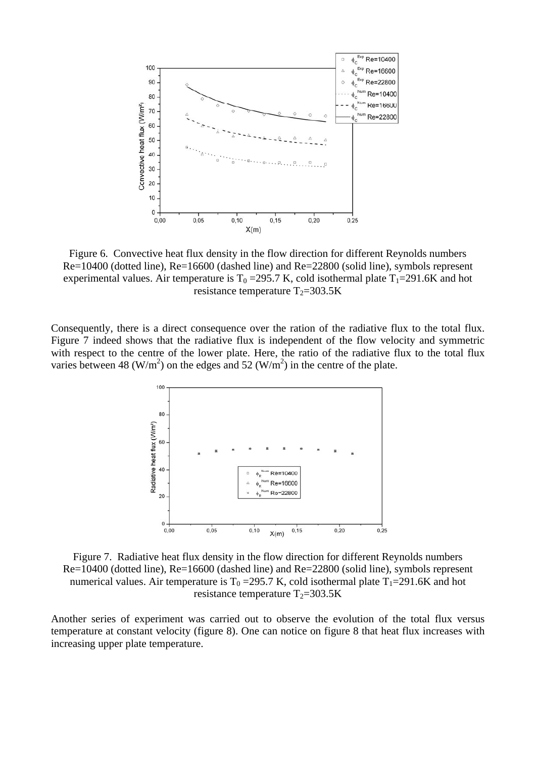

Figure 6. Convective heat flux density in the flow direction for different Reynolds numbers Re=10400 (dotted line), Re=16600 (dashed line) and Re=22800 (solid line), symbols represent experimental values. Air temperature is  $T_0 = 295.7$  K, cold isothermal plate  $T_1 = 291.6$ K and hot resistance temperature  $T_2 = 303.5K$ 

Consequently, there is a direct consequence over the ration of the radiative flux to the total flux. Figure 7 indeed shows that the radiative flux is independent of the flow velocity and symmetric with respect to the centre of the lower plate. Here, the ratio of the radiative flux to the total flux varies between 48 (W/m<sup>2</sup>) on the edges and 52 (W/m<sup>2</sup>) in the centre of the plate.



Figure 7. Radiative heat flux density in the flow direction for different Reynolds numbers Re=10400 (dotted line), Re=16600 (dashed line) and Re=22800 (solid line), symbols represent numerical values. Air temperature is  $T_0 = 295.7$  K, cold isothermal plate  $T_1 = 291.6$ K and hot resistance temperature  $T_2 = 303.5K$ 

Another series of experiment was carried out to observe the evolution of the total flux versus temperature at constant velocity (figure 8). One can notice on figure 8 that heat flux increases with increasing upper plate temperature.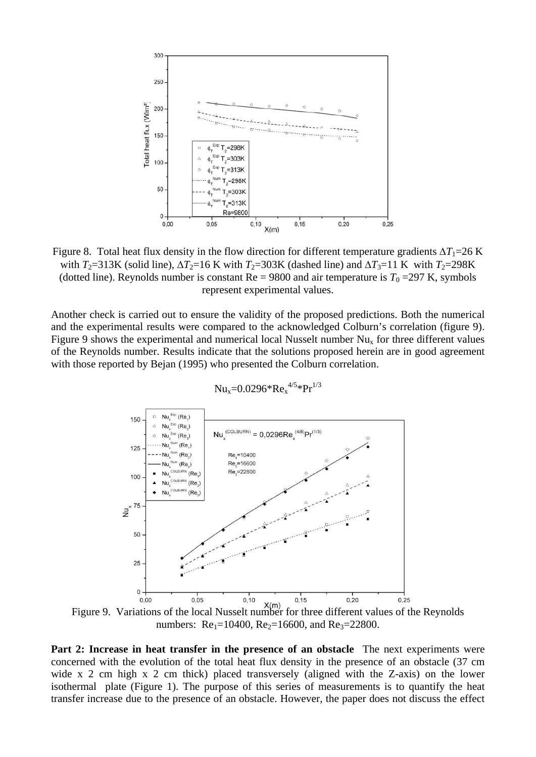

Figure 8. Total heat flux density in the flow direction for different temperature gradients  $\Delta T_1 = 26$  K with  $T_2$ =313K (solid line),  $\Delta T_2$ =16 K with  $T_2$ =303K (dashed line) and  $\Delta T_3$ =11 K with  $T_2$ =298K (dotted line). Reynolds number is constant  $Re = 9800$  and air temperature is  $T_0 = 297$  K, symbols represent experimental values.

Another check is carried out to ensure the validity of the proposed predictions. Both the numerical and the experimental results were compared to the acknowledged Colburn's correlation (figure 9). Figure 9 shows the experimental and numerical local Nusselt number  $Nu_x$  for three different values of the Reynolds number. Results indicate that the solutions proposed herein are in good agreement with those reported by Bejan (1995) who presented the Colburn correlation.



$$
Nu_x\!\!=\!\!0.0296^*Re_x{}^{4/5}*Pr^{1/3}
$$

numbers: Re<sub>1</sub>=10400, Re<sub>2</sub>=16600, and Re<sub>3</sub>=22800.

Part 2: Increase in heat transfer in the presence of an obstacle The next experiments were concerned with the evolution of the total heat flux density in the presence of an obstacle (37 cm wide x 2 cm high x 2 cm thick) placed transversely (aligned with the Z-axis) on the lower isothermal plate (Figure 1). The purpose of this series of measurements is to quantify the heat transfer increase due to the presence of an obstacle. However, the paper does not discuss the effect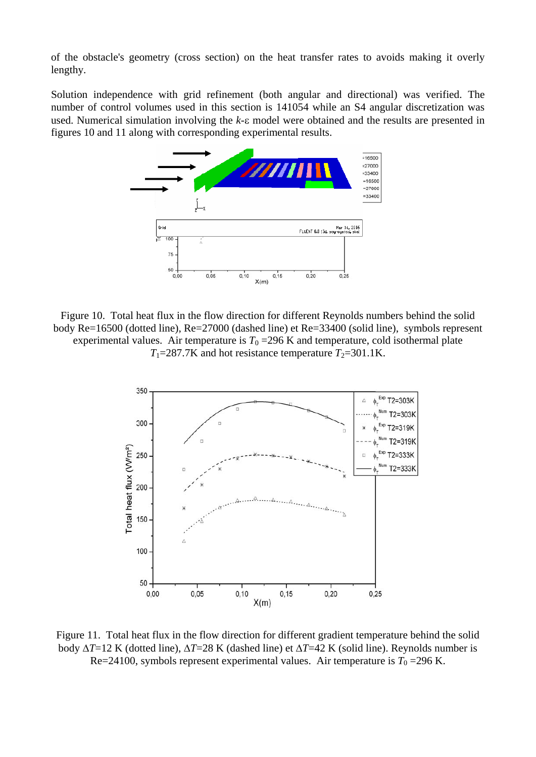of the obstacle's geometry (cross section) on the heat transfer rates to avoids making it overly lengthy.

Solution independence with grid refinement (both angular and directional) was verified. The number of control volumes used in this section is 141054 while an S4 angular discretization was used. Numerical simulation involving the *k*-ε model were obtained and the results are presented in figures 10 and 11 along with corresponding experimental results.



Figure 10. Total heat flux in the flow direction for different Reynolds numbers behind the solid body Re=16500 (dotted line), Re=27000 (dashed line) et Re=33400 (solid line), symbols represent experimental values. Air temperature is  $T_0 = 296$  K and temperature, cold isothermal plate  $T_1$ =287.7K and hot resistance temperature  $T_2$ =301.1K.



Figure 11. Total heat flux in the flow direction for different gradient temperature behind the solid body Δ*T*=12 K (dotted line), Δ*T*=28 K (dashed line) et Δ*T*=42 K (solid line). Reynolds number is Re=24100, symbols represent experimental values. Air temperature is  $T_0$  =296 K.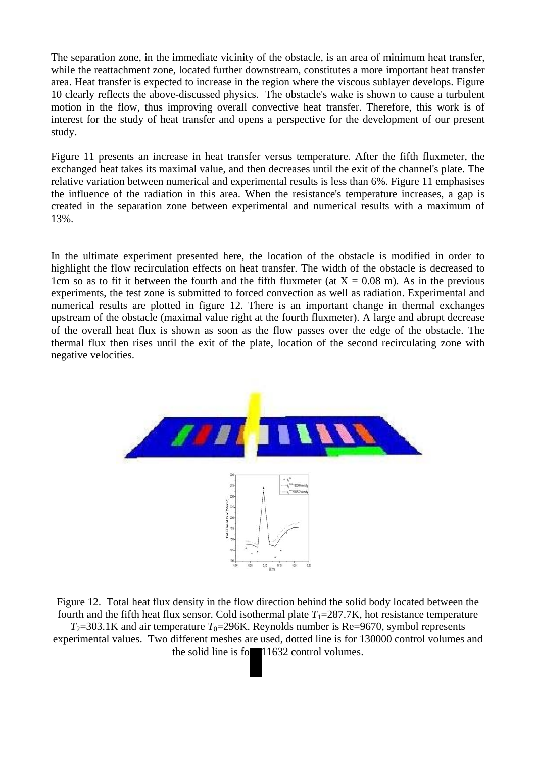The separation zone, in the immediate vicinity of the obstacle, is an area of minimum heat transfer, while the reattachment zone, located further downstream, constitutes a more important heat transfer area. Heat transfer is expected to increase in the region where the viscous sublayer develops. Figure 10 clearly reflects the above-discussed physics. The obstacle's wake is shown to cause a turbulent motion in the flow, thus improving overall convective heat transfer. Therefore, this work is of interest for the study of heat transfer and opens a perspective for the development of our present study.

Figure 11 presents an increase in heat transfer versus temperature. After the fifth fluxmeter, the exchanged heat takes its maximal value, and then decreases until the exit of the channel's plate. The relative variation between numerical and experimental results is less than 6%. Figure 11 emphasises the influence of the radiation in this area. When the resistance's temperature increases, a gap is created in the separation zone between experimental and numerical results with a maximum of 13%.

In the ultimate experiment presented here, the location of the obstacle is modified in order to highlight the flow recirculation effects on heat transfer. The width of the obstacle is decreased to 1cm so as to fit it between the fourth and the fifth fluxmeter (at  $X = 0.08$  m). As in the previous experiments, the test zone is submitted to forced convection as well as radiation. Experimental and numerical results are plotted in figure 12. There is an important change in thermal exchanges upstream of the obstacle (maximal value right at the fourth fluxmeter). A large and abrupt decrease of the overall heat flux is shown as soon as the flow passes over the edge of the obstacle. The thermal flux then rises until the exit of the plate, location of the second recirculating zone with negative velocities.



Figure 12. Total heat flux density in the flow direction behind the solid body located between the fourth and the fifth heat flux sensor. Cold isothermal plate  $T_1=287.7K$ , hot resistance temperature  $T_2$ =303.1K and air temperature  $T_0$ =296K. Reynolds number is Re=9670, symbol represents experimental values. Two different meshes are used, dotted line is for 130000 control volumes and

the solid line is for  $11632$  control volumes.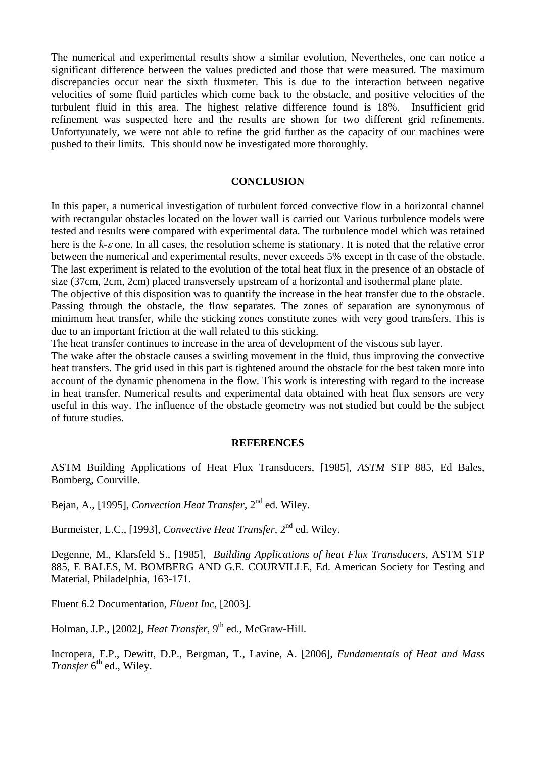The numerical and experimental results show a similar evolution, Nevertheles, one can notice a significant difference between the values predicted and those that were measured. The maximum discrepancies occur near the sixth fluxmeter. This is due to the interaction between negative velocities of some fluid particles which come back to the obstacle, and positive velocities of the turbulent fluid in this area. The highest relative difference found is 18%. Insufficient grid refinement was suspected here and the results are shown for two different grid refinements. Unfortyunately, we were not able to refine the grid further as the capacity of our machines were pushed to their limits. This should now be investigated more thoroughly.

## **CONCLUSION**

In this paper, a numerical investigation of turbulent forced convective flow in a horizontal channel with rectangular obstacles located on the lower wall is carried out Various turbulence models were tested and results were compared with experimental data. The turbulence model which was retained here is the *k-*ε one. In all cases, the resolution scheme is stationary. It is noted that the relative error between the numerical and experimental results, never exceeds 5% except in th case of the obstacle. The last experiment is related to the evolution of the total heat flux in the presence of an obstacle of size (37cm, 2cm, 2cm) placed transversely upstream of a horizontal and isothermal plane plate.

The objective of this disposition was to quantify the increase in the heat transfer due to the obstacle. Passing through the obstacle, the flow separates. The zones of separation are synonymous of minimum heat transfer, while the sticking zones constitute zones with very good transfers. This is due to an important friction at the wall related to this sticking.

The heat transfer continues to increase in the area of development of the viscous sub layer.

The wake after the obstacle causes a swirling movement in the fluid, thus improving the convective heat transfers. The grid used in this part is tightened around the obstacle for the best taken more into account of the dynamic phenomena in the flow. This work is interesting with regard to the increase in heat transfer. Numerical results and experimental data obtained with heat flux sensors are very useful in this way. The influence of the obstacle geometry was not studied but could be the subject of future studies.

#### **REFERENCES**

ASTM Building Applications of Heat Flux Transducers, [1985], *ASTM* STP 885, Ed Bales, Bomberg, Courville.

Bejan, A., [1995], *Convection Heat Transfer*, 2<sup>nd</sup> ed. Wiley.

Burmeister, L.C., [1993], *Convective Heat Transfer*, 2<sup>nd</sup> ed. Wiley.

Degenne, M., Klarsfeld S., [1985], *Building Applications of heat Flux Transducers*, ASTM STP 885, E BALES, M. BOMBERG AND G.E. COURVILLE, Ed. American Society for Testing and Material, Philadelphia, 163-171.

Fluent 6.2 Documentation, *Fluent Inc*, [2003].

Holman, J.P., [2002], *Heat Transfer*, 9<sup>th</sup> ed., McGraw-Hill.

Incropera, F.P., Dewitt, D.P., Bergman, T., Lavine, A. [2006], *Fundamentals of Heat and Mass Transfer* 6<sup>th</sup> ed., Wiley.